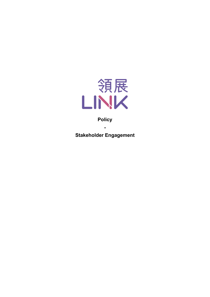

## **Policy**

**-**

**Stakeholder Engagement**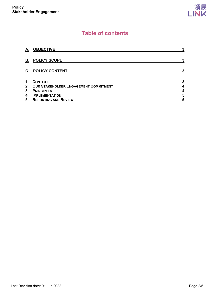# **Table of contents**

| А.             | <b>OBJECTIVE</b>                         | 3 |
|----------------|------------------------------------------|---|
| В.             | <b>POLICY SCOPE</b>                      | 3 |
| $\mathbf{C}$ . | <b>POLICY CONTENT</b>                    | 3 |
| 1.             | <b>CONTEXT</b>                           | 3 |
|                | 2. OUR STAKEHOLDER ENGAGEMENT COMMITMENT | 4 |
| 3.             | <b>PRINCIPLES</b>                        | 4 |
| 4.             | <b>IMPLEMENTATION</b>                    | 5 |
|                | 5. REPORTING AND REVIEW                  | 5 |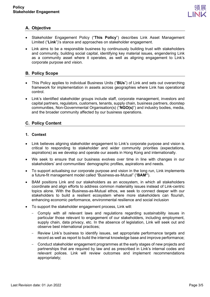

## <span id="page-2-0"></span>**A. Objective**

- Stakeholder Engagement Policy ("**This Policy**") describes Link Asset Management Limited ("**Link**")'s stance and approaches on stakeholder engagement.
- Link aims to be a responsible business by continuously building trust with stakeholders and community, building social capital, identifying key material issues, engendering Link as a community asset where it operates, as well as aligning engagement to Link's corporate purpose and vision.

## <span id="page-2-1"></span>**B. Policy Scope**

- This Policy applies to individual Business Units ("**BUs**") of Link and sets out overarching framework for implementation in assets across geographies where Link has operational control.
- Link's identified stakeholder groups include staff, corporate management, investors and capital partners, regulators, customers, tenants, supply chain, business partners, doorstep communities, Non-Governmental Organisation(s) ("**NGO(s)**") and industry bodies, media, and the broader community affected by our business operations.

### <span id="page-2-2"></span>**C. Policy Content**

#### <span id="page-2-3"></span>**1. Context**

- Link believes aligning stakeholder engagement to Link's corporate purpose and vision is critical to responding to stakeholder and wider community priorities (expectations, aspirations) as we develop and operate our assets in Hong Kong and internationally.
- We seek to ensure that our business evolves over time in line with changes in our stakeholders' and communities' demographic profiles, aspirations and needs.
- To support actualising our corporate purpose and vision in the long run, Link implements a future-fit management model called "Business-as-Mutual" ("**BAM"**).
- BAM positions Link and our stakeholders as an ecosystem, in which all stakeholders coordinate and align efforts to address common materiality issues instead of Link-centric topics alone. With the Business-as-Mutual ethos, we seek to connect deeper with our stakeholders to build a resilient ecosystem where more stakeholders can flourish, enhancing economic performance, environmental resilience and social inclusion
- To support the stakeholder engagement process, Link will:
	- Comply with all relevant laws and regulations regarding sustainability issues in particular those relevant to engagement of our stakeholders, including employment, supply chain, data privacy, etc. In the absence of legislation, Link will seek out and observe best international practices;
	- Review Link's business to identify issues, set appropriate performance targets and record as well as report to build the internal knowledge base and improve performance;
	- Conduct stakeholder engagement programmes at the early stages of new projects and partnerships that are required by law and as prescribed in Link's internal codes and relevant polices. Link will review outcomes and implement recommendations appropriately;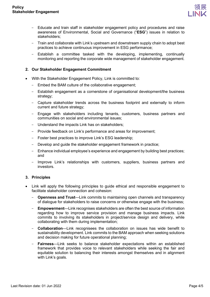

- Educate and train staff in stakeholder engagement policy and procedures and raise awareness of Environmental, Social and Governance ("**ESG**") issues in relation to stakeholders;
- Train and collaborate with Link's upstream and downstream supply chain to adopt best practices to achieve continuous improvement in ESG performance;
- Establish a committee tasked with the developing, implementing, continually monitoring and reporting the corporate wide management of stakeholder engagement.

#### <span id="page-3-0"></span>**2. Our Stakeholder Engagement Commitment**

- With the Stakeholder Engagement Policy, Link is committed to:
	- Embed the BAM culture of the collaborative engagement;
	- Establish engagement as a cornerstone of organisational development/the business strategy;
	- Capture stakeholder trends across the business footprint and externally to inform current and future strategy;
	- Engage with stakeholders including tenants, customers, business partners and communities on social and environmental issues;
	- Understand the impacts Link has on stakeholders;
	- Provide feedback on Link's performance and areas for improvement;
	- Foster best practices to improve Link's ESG leadership;
	- Develop and guide the stakeholder engagement framework in practice;
	- Enhance individual employee's experience and engagement by building best practices; and
	- Improve Link's relationships with customers, suppliers, business partners and investors.

#### <span id="page-3-1"></span>**3. Principles**

- Link will apply the following principles to guide ethical and responsible engagement to facilitate stakeholder connection and cohesion:
	- **Openness and Trust**—Link commits to maintaining open channels and transparency of dialogue for stakeholders to raise concerns or otherwise engage with the business;
	- **Empowerment**—Link recognises stakeholders are often the best source of information regarding how to improve service provision and manage business impacts. Link commits to involving its stakeholders in project/service design and delivery, while collaborating with them during implementation;
	- **Collaboration**—Link recognisees the collaboration on issues has wide benefit to sustainability development. Link commits to the BAM approach when seeking solutions and decision making for future operational planning;
	- **Fairness**—Link seeks to balance stakeholder expectations within an established framework that provides voice to relevant stakeholders while seeking the fair and equitable solution to balancing their interests amongst themselves and in alignment with Link's goals.